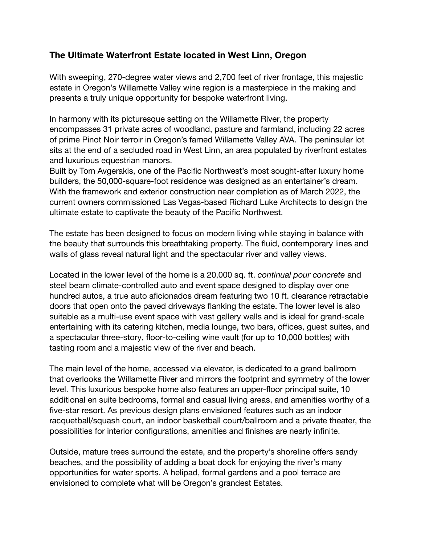## **The Ultimate Waterfront Estate located in West Linn, Oregon**

With sweeping, 270-degree water views and 2,700 feet of river frontage, this majestic estate in Oregon's Willamette Valley wine region is a masterpiece in the making and presents a truly unique opportunity for bespoke waterfront living.

In harmony with its picturesque setting on the Willamette River, the property encompasses 31 private acres of woodland, pasture and farmland, including 22 acres of prime Pinot Noir terroir in Oregon's famed Willamette Valley AVA. The peninsular lot sits at the end of a secluded road in West Linn, an area populated by riverfront estates and luxurious equestrian manors.

Built by Tom Avgerakis, one of the Pacific Northwest's most sought-after luxury home builders, the 50,000-square-foot residence was designed as an entertainer's dream. With the framework and exterior construction near completion as of March 2022, the current owners commissioned Las Vegas-based Richard Luke Architects to design the ultimate estate to captivate the beauty of the Pacific Northwest.

The estate has been designed to focus on modern living while staying in balance with the beauty that surrounds this breathtaking property. The fluid, contemporary lines and walls of glass reveal natural light and the spectacular river and valley views.

Located in the lower level of the home is a 20,000 sq. ft. *continual pour concrete* and steel beam climate-controlled auto and event space designed to display over one hundred autos, a true auto aficionados dream featuring two 10 ft. clearance retractable doors that open onto the paved driveways flanking the estate. The lower level is also suitable as a multi-use event space with vast gallery walls and is ideal for grand-scale entertaining with its catering kitchen, media lounge, two bars, offices, guest suites, and a spectacular three-story, floor-to-ceiling wine vault (for up to 10,000 bottles) with tasting room and a majestic view of the river and beach.

The main level of the home, accessed via elevator, is dedicated to a grand ballroom that overlooks the Willamette River and mirrors the footprint and symmetry of the lower level. This luxurious bespoke home also features an upper-floor principal suite, 10 additional en suite bedrooms, formal and casual living areas, and amenities worthy of a five-star resort. As previous design plans envisioned features such as an indoor racquetball/squash court, an indoor basketball court/ballroom and a private theater, the possibilities for interior configurations, amenities and finishes are nearly infinite.

Outside, mature trees surround the estate, and the property's shoreline offers sandy beaches, and the possibility of adding a boat dock for enjoying the river's many opportunities for water sports. A helipad, formal gardens and a pool terrace are envisioned to complete what will be Oregon's grandest Estates.